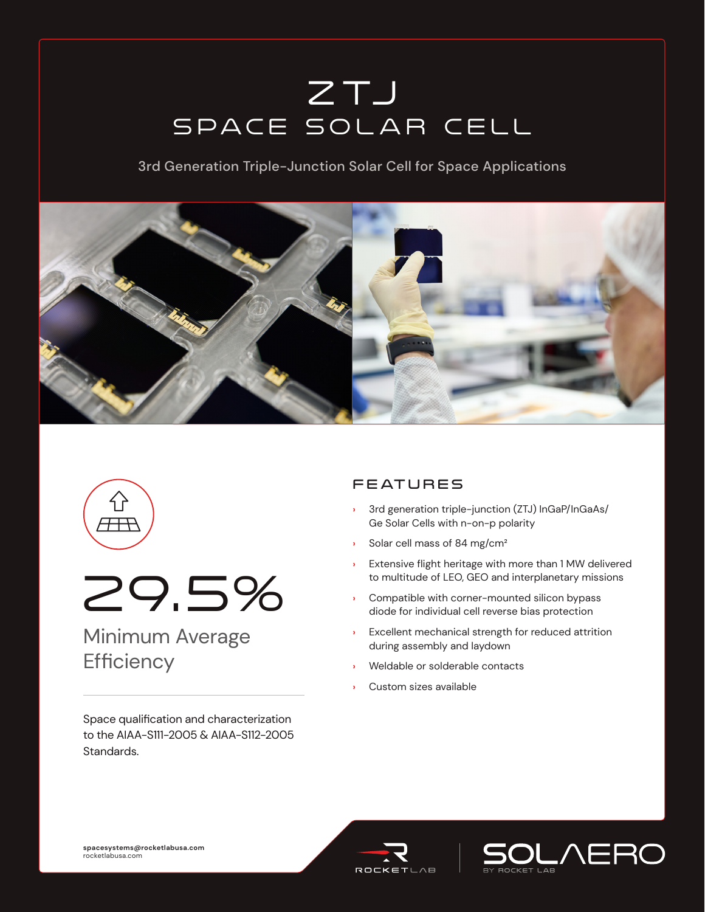# ZTJ Space Solar Cell

3rd Generation Triple-Junction Solar Cell for Space Applications







## Minimum Average **Efficiency**

Space qualification and characterization to the AIAA-S111-2005 & AIAA-S112-2005 Standards.

### **FEATURES**

- **›** 3rd generation triple-junction (ZTJ) InGaP/InGaAs/ Ge Solar Cells with n-on-p polarity
- **›** Solar cell mass of 84 mg/cm²
- **›** Extensive flight heritage with more than 1 MW delivered to multitude of LEO, GEO and interplanetary missions
- **›** Compatible with corner-mounted silicon bypass diode for individual cell reverse bias protection
- **›** Excellent mechanical strength for reduced attrition during assembly and laydown
- **›** Weldable or solderable contacts
- **›** Custom sizes available